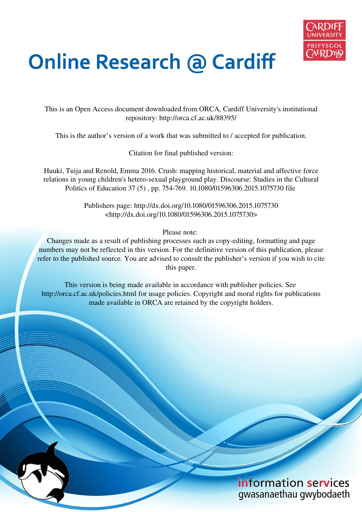

# **Online Research @ Cardiff**

This is an Open Access document downloaded from ORCA, Cardiff University's institutional repository: http://orca.cf.ac.uk/88395/

This is the author's version of a work that was submitted to / accepted for publication.

Citation for final published version:

Huuki, Tuija and Renold, Emma 2016. Crush: mapping historical, material and affective force relations in young children's hetero-sexual playground play. Discourse: Studies in the Cultural Politics of Education 37 (5) , pp. 754-769. 10.1080/01596306.2015.1075730 file

> Publishers page: http://dx.doi.org/10.1080/01596306.2015.1075730 <http://dx.doi.org/10.1080/01596306.2015.1075730>

> > Please note:

Changes made as a result of publishing processes such as copy-editing, formatting and page numbers may not be reflected in this version. For the definitive version of this publication, please refer to the published source. You are advised to consult the publisher's version if you wish to cite this paper.

This version is being made available in accordance with publisher policies. See http://orca.cf.ac.uk/policies.html for usage policies. Copyright and moral rights for publications made available in ORCA are retained by the copyright holders.

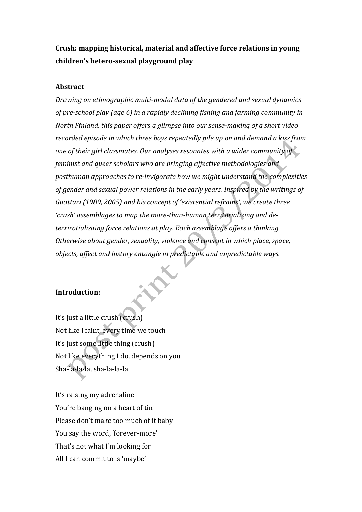**Crush: mapping historical, material and affective force relations in young children's hetero‐sexual playground play** 

## **Abstract**

*Drawing on ethnographic multi‐modal data of the gendered and sexual dynamics of pre‐school play (age 6) in a rapidly declining fishing and farming community in North Finland, this paper offers a glimpse into our sense‐making of a short video recorded episode in which three boys repeatedly pile up on and demand a kiss from one of their girl classmates. Our analyses resonates with a wider community of feminist and queer scholars who are bringing affective methodologies and posthuman approaches to re‐invigorate how we might understand the complexities of gender and sexual power relations in the early years. Inspired by the writings of Guattari (1989, 2005) and his concept of 'existential refrains', we create three 'crush' assemblages to map the more‐than‐human territorializing and de‐ terrirotialisaing force relations at play. Each assemblage offers a thinking Otherwise about gender, sexuality, violence and consent in which place, space, objects, affect and history entangle in predictable and unpredictable ways.* 

# **Introduction:**

It's just a little crush (crush) Not like I faint, every time we touch It's just some little thing (crush) Not like everything I do, depends on you Sha‐la‐la‐la, sha‐la‐la‐la

It's raising my adrenaline You're banging on a heart of tin Please don't make too much of it baby You say the word, 'forever‐more' That's not what I'm looking for All I can commit to is 'maybe'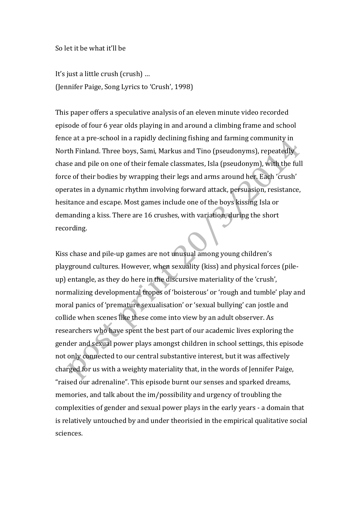So let it be what it'll be

It's just a little crush (crush) … (Jennifer Paige, Song Lyrics to 'Crush', 1998)

This paper offers a speculative analysis of an eleven minute video recorded episode of four 6 year olds playing in and around a climbing frame and school fence at a pre‐school in a rapidly declining fishing and farming community in North Finland. Three boys, Sami, Markus and Tino (pseudonyms), repeatedly chase and pile on one of their female classmates, Isla (pseudonym), with the full force of their bodies by wrapping their legs and arms around her. Each 'crush' operates in a dynamic rhythm involving forward attack, persuasion, resistance, hesitance and escape. Most games include one of the boys kissing Isla or demanding a kiss. There are 16 crushes, with variation, during the short recording.

Kiss chase and pile‐up games are not unusual among young children's playground cultures. However, when sexuality (kiss) and physical forces (pile‐ up) entangle, as they do here in the discursive materiality of the 'crush', normalizing developmental tropes of 'boisterous' or 'rough and tumble' play and moral panics of 'premature sexualisation' or 'sexual bullying' can jostle and collide when scenes like these come into view by an adult observer. As researchers who have spent the best part of our academic lives exploring the gender and sexual power plays amongst children in school settings, this episode not only connected to our central substantive interest, but it was affectively charged for us with a weighty materiality that, in the words of Jennifer Paige, "raised our adrenaline". This episode burnt our senses and sparked dreams, memories, and talk about the im/possibility and urgency of troubling the complexities of gender and sexual power plays in the early years ‐ a domain that is relatively untouched by and under theorisied in the empirical qualitative social sciences.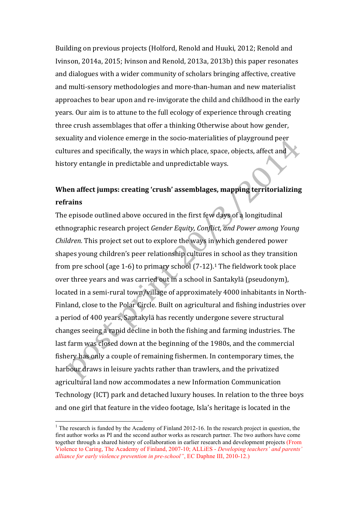Building on previous projects (Holford, Renold and Huuki, 2012; Renold and Ivinson, 2014a, 2015; Ivinson and Renold, 2013a, 2013b) this paper resonates and dialogues with a wider community of scholars bringing affective, creative and multi‐sensory methodologies and more‐than‐human and new materialist approaches to bear upon and re‐invigorate the child and childhood in the early years. Our aim is to attune to the full ecology of experience through creating three crush assemblages that offer a thinking Otherwise about how gender, sexuality and violence emerge in the socio‐materialities of playground peer cultures and specifically, the ways in which place, space, objects, affect and history entangle in predictable and unpredictable ways.

# **When affect jumps: creating 'crush' assemblages, mapping territorializing refrains**

The episode outlined above occured in the first few days of a longitudinal ethnographic research project *Gender Equity, Conflict, and Power among Young Children.* This project set out to explore the ways in which gendered power shapes young children's peer relationship cultures in school as they transition from pre school (age 1-6) to primary school (7-12).<sup>1</sup> The fieldwork took place over three years and was carried out in a school in Santakylä (pseudonym), located in a semi-rural town/village of approximately 4000 inhabitants in North-Finland, close to the Polar Circle. Built on agricultural and fishing industries over a period of 400 years, Santakylä has recently undergone severe structural changes seeing a rapid decline in both the fishing and farming industries. The last farm was closed down at the beginning of the 1980s, and the commercial fishery has only a couple of remaining fishermen. In contemporary times, the harbour draws in leisure yachts rather than trawlers, and the privatized agricultural land now accommodates a new Information Communication Technology (ICT) park and detached luxury houses. In relation to the three boys and one girl that feature in the video footage, Isla's heritage is located in the

<sup>&</sup>lt;sup>1</sup> The research is funded by the Academy of Finland 2012-16. In the research project in question, the first author works as PI and the second author works as research partner. The two authors have come together through a shared history of collaboration in earlier research and development projects (From Violence to Caring, The Academy of Finland, 2007-10; ALLiES - *Developing teachers' and parents' alliance for early violence prevention in pre-school"*, EC Daphne III, 2010-12.)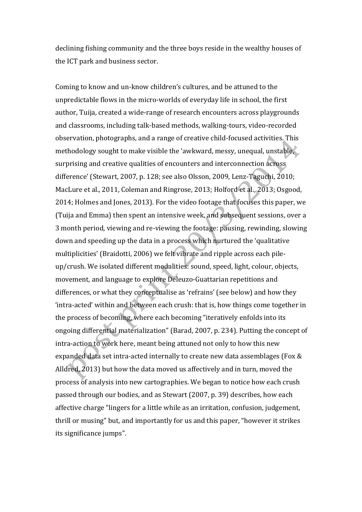declining fishing community and the three boys reside in the wealthy houses of the ICT park and business sector.

Coming to know and un‐know children's cultures, and be attuned to the unpredictable flows in the micro‐worlds of everyday life in school, the first author, Tuija, created a wide‐range of research encounters across playgrounds and classrooms, including talk‐based methods, walking‐tours, video‐recorded observation, photographs, and a range of creative child‐focused activities. This methodology sought to make visible the 'awkward, messy, unequal, unstable, surprising and creative qualities of encounters and interconnection across difference' (Stewart, 2007, p. 128; see also Olsson, 2009, Lenz‐Taguchi, 2010; MacLure et al., 2011, Coleman and Ringrose, 2013; Holford et al., 2013; Osgood, 2014; Holmes and Jones, 2013). For the video footage that focuses this paper, we (Tuija and Emma) then spent an intensive week, and subsequent sessions, over a 3 month period, viewing and re‐viewing the footage: pausing, rewinding, slowing down and speeding up the data in a process which nurtured the 'qualitative multiplicities' (Braidotti, 2006) we felt vibrate and ripple across each pile‐ up/crush. We isolated different modalities: sound, speed, light, colour, objects, movement, and language to explore Deleuzo‐Guattarian repetitions and differences, or what they conceptualise as 'refrains' (see below) and how they 'intra‐acted' within and between each crush: that is, how things come together in the process of becoming, where each becoming "iteratively enfolds into its ongoing differential materialization" (Barad, 2007, p. 234). Putting the concept of intra‐action to work here, meant being attuned not only to how this new expanded data set intra-acted internally to create new data assemblages (Fox & Alldred, 2013) but how the data moved us affectively and in turn, moved the process of analysis into new cartographies. We began to notice how each crush passed through our bodies, and as Stewart (2007, p. 39) describes, how each affective charge "lingers for a little while as an irritation, confusion, judgement, thrill or musing" but, and importantly for us and this paper, "however it strikes its significance jumps".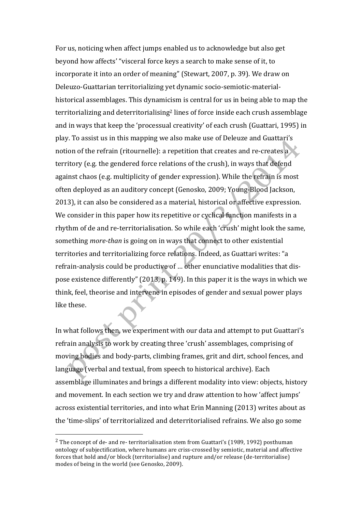For us, noticing when affect jumps enabled us to acknowledge but also get beyond how affects' "visceral force keys a search to make sense of it, to incorporate it into an order of meaning" (Stewart, 2007, p. 39). We draw on Deleuzo‐Guattarian territorializing yet dynamic socio‐semiotic‐material‐ historical assemblages. This dynamicism is central for us in being able to map the territorializing and deterritorialising<sup>2</sup> lines of force inside each crush assemblage and in ways that keep the 'processual creativity' of each crush (Guattari, 1995) in play. To assist us in this mapping we also make use of Deleuze and Guattari's notion of the refrain (ritournelle): a repetition that creates and re-creates a territory (e.g. the gendered force relations of the crush), in ways that defend against chaos (e.g. multiplicity of gender expression). While the refrain is most often deployed as an auditory concept (Genosko, 2009; Young‐Blood Jackson, 2013), it can also be considered as a material, historical or affective expression. We consider in this paper how its repetitive or cyclical function manifests in a rhythm of de and re‐territorialisation. So while each 'crush' might look the same, something *more‐than* is going on in ways that connect to other existential territories and territorializing force relations. Indeed, as Guattari writes: "a refrain‐analysis could be productive of … other enunciative modalities that dis‐ pose existence differently" (2013, p. 149). In this paper it is the ways in which we think, feel, theorise and intervene in episodes of gender and sexual power plays like these.

In what follows then, we experiment with our data and attempt to put Guattari's refrain analysis to work by creating three 'crush' assemblages, comprising of moving bodies and body‐parts, climbing frames, grit and dirt, school fences, and language (verbal and textual, from speech to historical archive). Each assemblage illuminates and brings a different modality into view: objects, history and movement. In each section we try and draw attention to how 'affect jumps' across existential territories, and into what Erin Manning (2013) writes about as the 'time‐slips' of territorialized and deterritorialised refrains. We also go some

 $2$  The concept of de- and re- territorialisation stem from Guattari's (1989, 1992) posthuman ontology of subjectification, where humans are criss‐crossed by semiotic, material and affective forces that hold and/or block (territorialise) and rupture and/or release (de‐territorialise) modes of being in the world (see Genosko, 2009).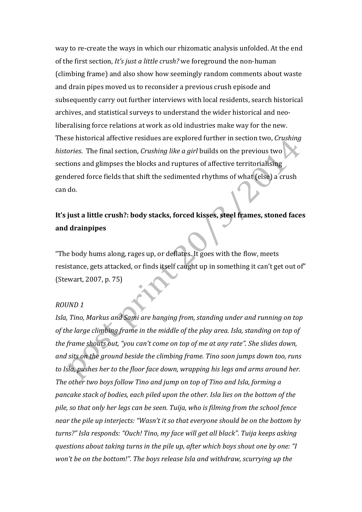way to re-create the ways in which our rhizomatic analysis unfolded. At the end of the first section, *It's just a little crush?* we foreground the non‐human (climbing frame) and also show how seemingly random comments about waste and drain pipes moved us to reconsider a previous crush episode and subsequently carry out further interviews with local residents, search historical archives, and statistical surveys to understand the wider historical and neo‐ liberalising force relations at work as old industries make way for the new. These historical affective residues are explored further in section two, *Crushing histories*. The final section, *Crushing like a girl* builds on the previous two sections and glimpses the blocks and ruptures of affective territorialising gendered force fields that shift the sedimented rhythms of what (else) a crush can do.

# **It's just a little crush?: body stacks, forced kisses, steel frames, stoned faces and drainpipes**

"The body hums along, rages up, or deflates. It goes with the flow, meets resistance, gets attacked, or finds itself caught up in something it can't get out of" (Stewart, 2007, p. 75)

## *ROUND 1*

*Isla, Tino, Markus and Sami are hanging from, standing under and running on top of the large climbing frame in the middle of the play area. Isla, standing on top of the frame shouts out, "you can't come on top of me at any rate". She slides down, and sits on the ground beside the climbing frame. Tino soon jumps down too, runs to Isla, pushes her to the floor face down, wrapping his legs and arms around her. The other two boys follow Tino and jump on top of Tino and Isla, forming a pancake stack of bodies, each piled upon the other. Isla lies on the bottom of the pile, so that only her legs can be seen. Tuija, who is filming from the school fence near the pile up interjects: "Wasn't it so that everyone should be on the bottom by turns?" Isla responds: "Ouch! Tino, my face will get all black". Tuija keeps asking questions about taking turns in the pile up, after which boys shout one by one: "I won't be on the bottom!". The boys release Isla and withdraw, scurrying up the*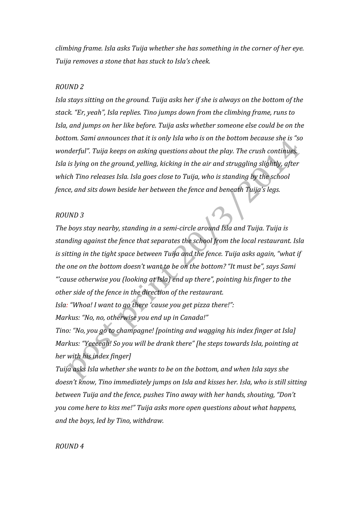*climbing frame. Isla asks Tuija whether she has something in the corner of her eye. Tuija removes a stone that has stuck to Isla's cheek.* 

#### *ROUND 2*

*Isla stays sitting on the ground. Tuija asks her if she is always on the bottom of the stack. "Er, yeah", Isla replies. Tino jumps down from the climbing frame, runs to Isla, and jumps on her like before. Tuija asks whether someone else could be on the bottom. Sami announces that it is only Isla who is on the bottom because she is "so wonderful". Tuija keeps on asking questions about the play. The crush continues. Isla is lying on the ground, yelling, kicking in the air and struggling slightly, after which Tino releases Isla. Isla goes close to Tuija, who is standing by the school fence, and sits down beside her between the fence and beneath Tuija's legs.* 

#### *ROUND 3*

*The boys stay nearby, standing in a semi‐circle around Isla and Tuija. Tuija is standing against the fence that separates the school from the local restaurant. Isla is sitting in the tight space between Tuija and the fence. Tuija asks again, "what if the one on the bottom doesn't want to be on the bottom? "It must be", says Sami "'cause otherwise you (looking at Isla) end up there", pointing his finger to the other side of the fence in the direction of the restaurant.* 

*Isla: "Whoa! I want to go there 'cause you get pizza there!": Markus: "No, no, otherwise you end up in Canada!"* 

*Tino: "No, you go to champagne! [pointing and wagging his index finger at Isla] Markus: "Yeeeeah! So you will be drank there" [he steps towards Isla, pointing at her with his index finger]* 

*Tuija asks Isla whether she wants to be on the bottom, and when Isla says she doesn't know, Tino immediately jumps on Isla and kisses her. Isla, who is still sitting between Tuija and the fence, pushes Tino away with her hands, shouting, "Don't you come here to kiss me!" Tuija asks more open questions about what happens, and the boys, led by Tino, withdraw.* 

#### *ROUND 4*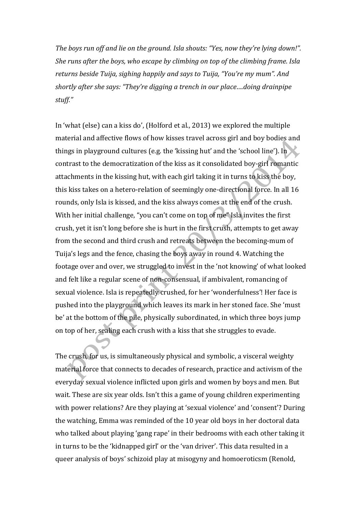*The boys run off and lie on the ground. Isla shouts: "Yes, now they're lying down!". She runs after the boys, who escape by climbing on top of the climbing frame. Isla returns beside Tuija, sighing happily and says to Tuija, "You're my mum". And shortly after she says: "They're digging a trench in our place….doing drainpipe stuff."* 

In 'what (else) can a kiss do', (Holford et al., 2013) we explored the multiple material and affective flows of how kisses travel across girl and boy bodies and things in playground cultures (e.g. the 'kissing hut' and the 'school line'). In contrast to the democratization of the kiss as it consolidated boy‐girl romantic attachments in the kissing hut, with each girl taking it in turns to kiss the boy, this kiss takes on a hetero‐relation of seemingly one‐directional force. In all 16 rounds, only Isla is kissed, and the kiss always comes at the end of the crush. With her initial challenge, "you can't come on top of me" Isla invites the first crush, yet it isn't long before she is hurt in the first crush, attempts to get away from the second and third crush and retreats between the becoming‐mum of Tuija's legs and the fence, chasing the boys away in round 4. Watching the footage over and over, we struggled to invest in the 'not knowing' of what looked and felt like a regular scene of non‐consensual, if ambivalent, romancing of sexual violence. Isla is repeatedly crushed, for her 'wonderfulness'! Her face is pushed into the playground which leaves its mark in her stoned face. She 'must be' at the bottom of the pile, physically subordinated, in which three boys jump on top of her, sealing each crush with a kiss that she struggles to evade.

The crush, for us, is simultaneously physical and symbolic, a visceral weighty material force that connects to decades of research, practice and activism of the everyday sexual violence inflicted upon girls and women by boys and men. But wait. These are six year olds. Isn't this a game of young children experimenting with power relations? Are they playing at 'sexual violence' and 'consent'? During the watching, Emma was reminded of the 10 year old boys in her doctoral data who talked about playing 'gang rape' in their bedrooms with each other taking it in turns to be the 'kidnapped girl' or the 'van driver'. This data resulted in a queer analysis of boys' schizoid play at misogyny and homoeroticsm (Renold,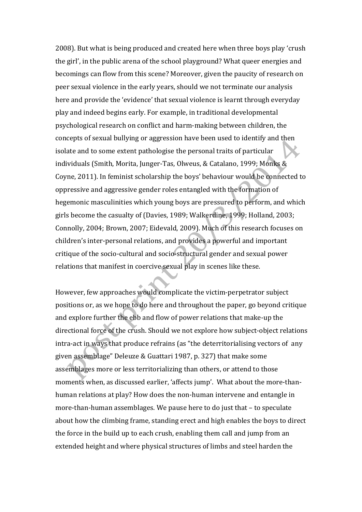2008). But what is being produced and created here when three boys play 'crush the girl', in the public arena of the school playground? What queer energies and becomings can flow from this scene? Moreover, given the paucity of research on peer sexual violence in the early years, should we not terminate our analysis here and provide the 'evidence' that sexual violence is learnt through everyday play and indeed begins early. For example, in traditional developmental psychological research on conflict and harm‐making between children, the concepts of sexual bullying or aggression have been used to identify and then isolate and to some extent pathologise the personal traits of particular individuals (Smith, Morita, Junger‐Tas, Olweus, & Catalano, 1999; Monks & Coyne, 2011). In feminist scholarship the boys' behaviour would be connected to oppressive and aggressive gender roles entangled with the formation of hegemonic masculinities which young boys are pressured to perform, and which girls become the casualty of (Davies, 1989; Walkerdine, 1999; Holland, 2003; Connolly, 2004; Brown, 2007; Eidevald, 2009). Much of this research focuses on children's inter‐personal relations, and provides a powerful and important critique of the socio‐cultural and socio‐structural gender and sexual power relations that manifest in coercive sexual play in scenes like these.

However, few approaches would complicate the victim‐perpetrator subject positions or, as we hope to do here and throughout the paper, go beyond critique and explore further the ebb and flow of power relations that make‐up the directional force of the crush. Should we not explore how subject-object relations intra‐act in ways that produce refrains (as "the deterritorialising vectors of any given assemblage" Deleuze & Guattari 1987, p. 327) that make some assemblages more or less territorializing than others, or attend to those moments when, as discussed earlier, 'affects jump'. What about the more‐than‐ human relations at play? How does the non‐human intervene and entangle in more‐than‐human assemblages. We pause here to do just that – to speculate about how the climbing frame, standing erect and high enables the boys to direct the force in the build up to each crush, enabling them call and jump from an extended height and where physical structures of limbs and steel harden the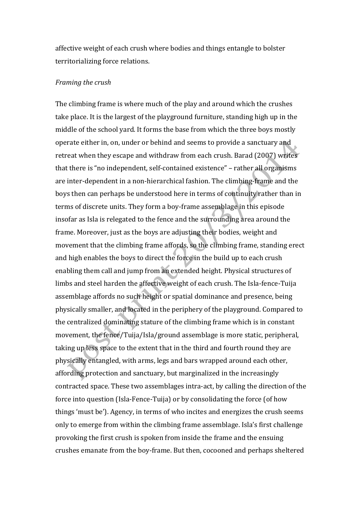affective weight of each crush where bodies and things entangle to bolster territorializing force relations.

#### *Framing the crush*

The climbing frame is where much of the play and around which the crushes take place. It is the largest of the playground furniture, standing high up in the middle of the school yard. It forms the base from which the three boys mostly operate either in, on, under or behind and seems to provide a sanctuary and retreat when they escape and withdraw from each crush. Barad (2007) writes that there is "no independent, self‐contained existence" – rather all organisms are inter‐dependent in a non‐hierarchical fashion. The climbing‐frame and the boys then can perhaps be understood here in terms of continuity rather than in terms of discrete units. They form a boy‐frame assemblage in this episode insofar as Isla is relegated to the fence and the surrounding area around the frame. Moreover, just as the boys are adjusting their bodies, weight and movement that the climbing frame affords, so the climbing frame, standing erect and high enables the boys to direct the force in the build up to each crush enabling them call and jump from an extended height. Physical structures of limbs and steel harden the affective weight of each crush. The Isla‐fence‐Tuija assemblage affords no such height or spatial dominance and presence, being physically smaller, and located in the periphery of the playground. Compared to the centralized dominating stature of the climbing frame which is in constant movement, the fence/Tuija/Isla/ground assemblage is more static, peripheral, taking up less space to the extent that in the third and fourth round they are physically entangled, with arms, legs and bars wrapped around each other, affording protection and sanctuary, but marginalized in the increasingly contracted space. These two assemblages intra‐act, by calling the direction of the force into question (Isla‐Fence‐Tuija) or by consolidating the force (of how things 'must be'). Agency, in terms of who incites and energizes the crush seems only to emerge from within the climbing frame assemblage. Isla's first challenge provoking the first crush is spoken from inside the frame and the ensuing crushes emanate from the boy‐frame. But then, cocooned and perhaps sheltered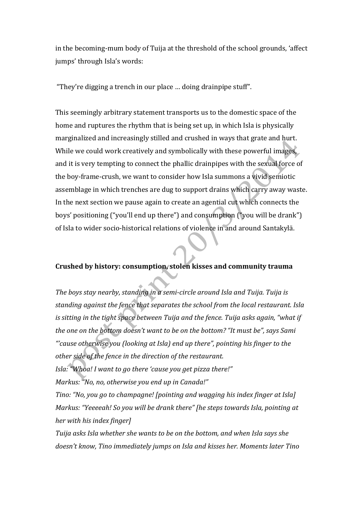in the becoming‐mum body of Tuija at the threshold of the school grounds, 'affect jumps' through Isla's words:

"They're digging a trench in our place … doing drainpipe stuff".

This seemingly arbitrary statement transports us to the domestic space of the home and ruptures the rhythm that is being set up, in which Isla is physically marginalized and increasingly stilled and crushed in ways that grate and hurt. While we could work creatively and symbolically with these powerful images, and it is very tempting to connect the phallic drainpipes with the sexual force of the boy‐frame‐crush, we want to consider how Isla summons a vivid semiotic assemblage in which trenches are dug to support drains which carry away waste. In the next section we pause again to create an agential cut which connects the boys' positioning ("you'll end up there") and consumption ("you will be drank") of Isla to wider socio‐historical relations of violence in and around Santakylä.

# **Crushed by history: consumption, stolen kisses and community trauma**

*The boys stay nearby, standing in a semi‐circle around Isla and Tuija. Tuija is standing against the fence that separates the school from the local restaurant. Isla is sitting in the tight space between Tuija and the fence. Tuija asks again, "what if the one on the bottom doesn't want to be on the bottom? "It must be", says Sami "'cause otherwise you (looking at Isla) end up there", pointing his finger to the other side of the fence in the direction of the restaurant. Isla: "Whoa! I want to go there 'cause you get pizza there!"* 

*Markus: "No, no, otherwise you end up in Canada!"* 

*Tino: "No, you go to champagne! [pointing and wagging his index finger at Isla] Markus: "Yeeeeah! So you will be drank there" [he steps towards Isla, pointing at her with his index finger]* 

*Tuija asks Isla whether she wants to be on the bottom, and when Isla says she doesn't know, Tino immediately jumps on Isla and kisses her. Moments later Tino*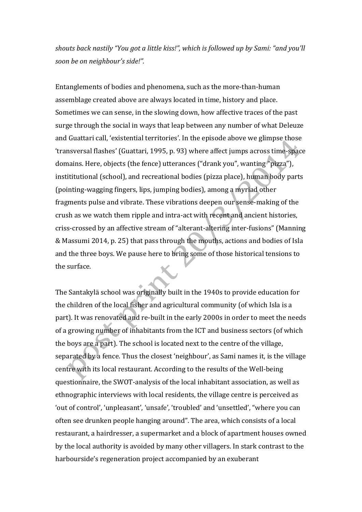*shouts back nastily "You got a little kiss!", which is followed up by Sami: "and you'll soon be on neighbour's side!".* 

Entanglements of bodies and phenomena, such as the more‐than‐human assemblage created above are always located in time, history and place. Sometimes we can sense, in the slowing down, how affective traces of the past surge through the social in ways that leap between any number of what Deleuze and Guattari call, 'existential territories'. In the episode above we glimpse those 'transversal flashes' (Guattari, 1995, p. 93) where affect jumps across time‐space domains. Here, objects (the fence) utterances ("drank you", wanting "pizza"), instititutional (school), and recreational bodies (pizza place), human body parts (pointing‐wagging fingers, lips, jumping bodies), among a myriad other fragments pulse and vibrate. These vibrations deepen our sense-making of the crush as we watch them ripple and intra‐act with recent and ancient histories, criss‐crossed by an affective stream of "alterant‐altering inter‐fusions" (Manning & Massumi 2014, p. 25) that pass through the mouths, actions and bodies of Isla and the three boys. We pause here to bring some of those historical tensions to the surface.

The Santakylä school was originally built in the 1940s to provide education for the children of the local fisher and agricultural community (of which Isla is a part). It was renovated and re-built in the early 2000s in order to meet the needs of a growing number of inhabitants from the ICT and business sectors (of which the boys are a part). The school is located next to the centre of the village, separated by a fence. Thus the closest 'neighbour', as Sami names it, is the village centre with its local restaurant. According to the results of the Well‐being questionnaire, the SWOT‐analysis of the local inhabitant association, as well as ethnographic interviews with local residents, the village centre is perceived as 'out of control', 'unpleasant', 'unsafe', 'troubled' and 'unsettled', "where you can often see drunken people hanging around". The area, which consists of a local restaurant, a hairdresser, a supermarket and a block of apartment houses owned by the local authority is avoided by many other villagers. In stark contrast to the harbourside's regeneration project accompanied by an exuberant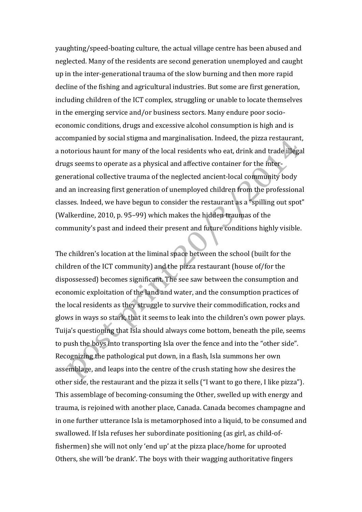yaughting/speed‐boating culture, the actual village centre has been abused and neglected. Many of the residents are second generation unemployed and caught up in the inter‐generational trauma of the slow burning and then more rapid decline of the fishing and agricultural industries. But some are first generation, including children of the ICT complex, struggling or unable to locate themselves in the emerging service and/or business sectors. Many endure poor socio‐ economic conditions, drugs and excessive alcohol consumption is high and is accompanied by social stigma and marginalisation. Indeed, the pizza restaurant, a notorious haunt for many of the local residents who eat, drink and trade illegal drugs seems to operate as a physical and affective container for the inter‐ generational collective trauma of the neglected ancient‐local community body and an increasing first generation of unemployed children from the professional classes. Indeed, we have begun to consider the restaurant as a "spilling out spot" (Walkerdine, 2010, p. 95–99) which makes the hidden traumas of the community's past and indeed their present and future conditions highly visible.

The children's location at the liminal space between the school (built for the children of the ICT community) and the pizza restaurant (house of/for the dispossessed) becomes significant. The see saw between the consumption and economic exploitation of the land and water, and the consumption practices of the local residents as they struggle to survive their commodification, rocks and glows in ways so stark, that it seems to leak into the children's own power plays. Tuija's questioning that Isla should always come bottom, beneath the pile, seems to push the boys into transporting Isla over the fence and into the "other side". Recognizing the pathological put down, in a flash, Isla summons her own assemblage, and leaps into the centre of the crush stating how she desires the other side, the restaurant and the pizza it sells ("I want to go there, I like pizza"). This assemblage of becoming‐consuming the Other, swelled up with energy and trauma, is rejoined with another place, Canada. Canada becomes champagne and in one further utterance Isla is metamorphosed into a liquid, to be consumed and swallowed. If Isla refuses her subordinate positioning (as girl, as child‐of‐ fishermen) she will not only 'end up' at the pizza place/home for uprooted Others, she will 'be drank'. The boys with their wagging authoritative fingers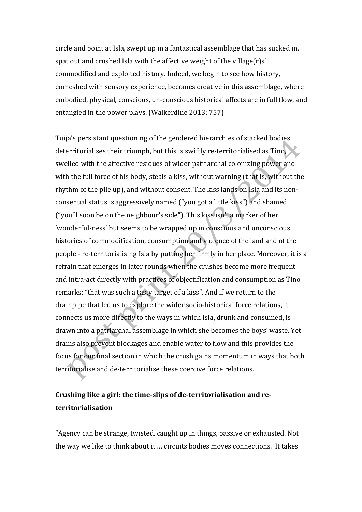circle and point at Isla, swept up in a fantastical assemblage that has sucked in, spat out and crushed Isla with the affective weight of the village(r)s' commodified and exploited history. Indeed, we begin to see how history, enmeshed with sensory experience, becomes creative in this assemblage, where embodied, physical, conscious, un‐conscious historical affects are in full flow, and entangled in the power plays. (Walkerdine 2013: 757)

Tuija's persistant questioning of the gendered hierarchies of stacked bodies deterritorialises their triumph, but this is swiftly re-territorialised as Tino, swelled with the affective residues of wider patriarchal colonizing power and with the full force of his body, steals a kiss, without warning (that is, without the rhythm of the pile up), and without consent. The kiss lands on Isla and its non‐ consenual status is aggressively named ("you got a little kiss") and shamed ("you'll soon be on the neighbour's side"). This kiss isn't a marker of her 'wonderful‐ness' but seems to be wrapped up in conscious and unconscious histories of commodification, consumption and violence of the land and of the people ‐ re‐territorialising Isla by putting her firmly in her place. Moreover, it is a refrain that emerges in later rounds when the crushes become more frequent and intra‐act directly with practices of objectification and consumption as Tino remarks: "that was such a tasty target of a kiss". And if we return to the drainpipe that led us to explore the wider socio-historical force relations, it connects us more directly to the ways in which Isla, drunk and consumed, is drawn into a patriarchal assemblage in which she becomes the boys' waste. Yet drains also prevent blockages and enable water to flow and this provides the focus for our final section in which the crush gains momentum in ways that both territorialise and de‐territorialise these coercive force relations.

# **Crushing like a girl: the time‐slips of de‐territorialisation and re‐ territorialisation**

"Agency can be strange, twisted, caught up in things, passive or exhausted. Not the way we like to think about it … circuits bodies moves connections. It takes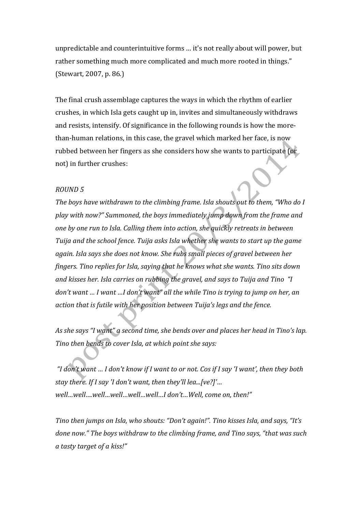unpredictable and counterintuitive forms … it's not really about will power, but rather something much more complicated and much more rooted in things." (Stewart, 2007, p. 86.)

The final crush assemblage captures the ways in which the rhythm of earlier crushes, in which Isla gets caught up in, invites and simultaneously withdraws and resists, intensify. Of significance in the following rounds is how the more‐ than‐human relations, in this case, the gravel which marked her face, is now rubbed between her fingers as she considers how she wants to participate (or not) in further crushes:

## *ROUND 5*

*The boys have withdrawn to the climbing frame. Isla shouts out to them, "Who do I play with now?" Summoned, the boys immediately jump down from the frame and one by one run to Isla. Calling them into action, she quickly retreats in between Tuija and the school fence. Tuija asks Isla whether she wants to start up the game again. Isla says she does not know. She rubs small pieces of gravel between her fingers. Tino replies for Isla, saying that he knows what she wants. Tino sits down and kisses her. Isla carries on rubbing the gravel, and says to Tuija and Tino "I don't want … I want …I don't want" all the while Tino is trying to jump on her, an action that is futile with her position between Tuija's legs and the fence.* 

*As she says "I want" a second time, she bends over and places her head in Tino's lap. Tino then bends to cover Isla, at which point she says:* 

 *"I don't want … I don't know if I want to or not. Cos if I say 'I want', then they both stay there. If I say 'I don't want, then they'll lea...[ve?]'… well…well….well…well…well…well…I don't…Well, come on, then!"*

*Tino then jumps on Isla, who shouts: "Don't again!". Tino kisses Isla, and says, "It's done now." The boys withdraw to the climbing frame, and Tino says, "that was such a tasty target of a kiss!"*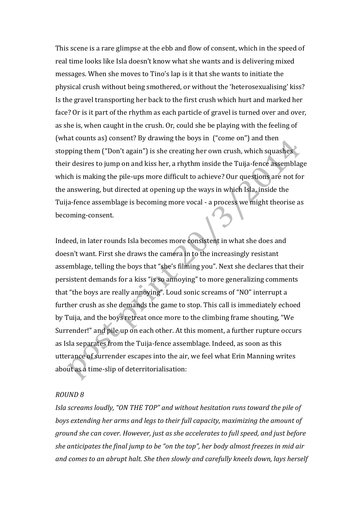This scene is a rare glimpse at the ebb and flow of consent, which in the speed of real time looks like Isla doesn't know what she wants and is delivering mixed messages. When she moves to Tino's lap is it that she wants to initiate the physical crush without being smothered, or without the 'heterosexualising' kiss? Is the gravel transporting her back to the first crush which hurt and marked her face? Or is it part of the rhythm as each particle of gravel is turned over and over, as she is, when caught in the crush. Or, could she be playing with the feeling of (what counts as) consent? By drawing the boys in ("come on") and then stopping them ("Don't again") is she creating her own crush, which squashes their desires to jump on and kiss her, a rhythm inside the Tuija‐fence assemblage which is making the pile-ups more difficult to achieve? Our questions are not for the answering, but directed at opening up the ways in which Isla, inside the Tuija‐fence assemblage is becoming more vocal ‐ a process we might theorise as becoming‐consent.

Indeed, in later rounds Isla becomes more consistent in what she does and doesn't want. First she draws the camera in to the increasingly resistant assemblage, telling the boys that "she's filming you". Next she declares that their persistent demands for a kiss "is so annoying" to more generalizing comments that "the boys are really annoying". Loud sonic screams of "NO" interrupt a further crush as she demands the game to stop. This call is immediately echoed by Tuija, and the boys retreat once more to the climbing frame shouting, "We Surrender!" and pile up on each other. At this moment, a further rupture occurs as Isla separates from the Tuija‐fence assemblage. Indeed, as soon as this utterance of surrender escapes into the air, we feel what Erin Manning writes about as a time‐slip of deterritorialisation:

#### *ROUND 8*

*Isla screams loudly, "ON THE TOP" and without hesitation runs toward the pile of boys extending her arms and legs to their full capacity, maximizing the amount of ground she can cover. However, just as she accelerates to full speed, and just before she anticipates the final jump to be "on the top", her body almost freezes in mid air and comes to an abrupt halt. She then slowly and carefully kneels down, lays herself*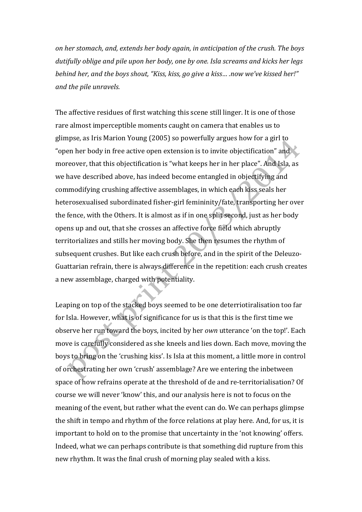*on her stomach, and, extends her body again, in anticipation of the crush. The boys dutifully oblige and pile upon her body, one by one. Isla screams and kicks her legs behind her, and the boys shout, "Kiss, kiss, go give a kiss… .now we've kissed her!" and the pile unravels.* 

The affective residues of first watching this scene still linger. It is one of those rare almost imperceptible moments caught on camera that enables us to glimpse, as Iris Marion Young (2005) so powerfully argues how for a girl to "open her body in free active open extension is to invite objectification" and moreover, that this objectification is "what keeps her in her place". And Isla, as we have described above, has indeed become entangled in objectifying and commodifying crushing affective assemblages, in which each kiss seals her heterosexualised subordinated fisher‐girl femininity/fate, transporting her over the fence, with the Others. It is almost as if in one split second, just as her body opens up and out, that she crosses an affective force field which abruptly territorializes and stills her moving body. She then resumes the rhythm of subsequent crushes. But like each crush before, and in the spirit of the Deleuzo-Guattarian refrain, there is always difference in the repetition: each crush creates a new assemblage, charged with potentiality.

Leaping on top of the stacked boys seemed to be one deterriotiralisation too far for Isla. However, what is of significance for us is that this is the first time we observe her run toward the boys, incited by her *own* utterance 'on the top!'. Each move is carefully considered as she kneels and lies down. Each move, moving the boys to bring on the 'crushing kiss'. Is Isla at this moment, a little more in control of orchestrating her own 'crush' assemblage? Are we entering the inbetween space of how refrains operate at the threshold of de and re‐territorialisation? Of course we will never 'know' this, and our analysis here is not to focus on the meaning of the event, but rather what the event can do. We can perhaps glimpse the shift in tempo and rhythm of the force relations at play here. And, for us, it is important to hold on to the promise that uncertainty in the 'not knowing' offers. Indeed, what we can perhaps contribute is that something did rupture from this new rhythm. It was the final crush of morning play sealed with a kiss.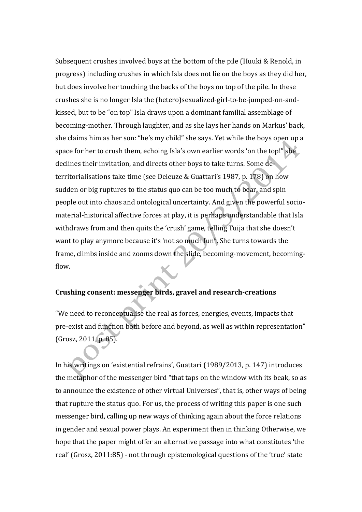Subsequent crushes involved boys at the bottom of the pile (Huuki & Renold, in progress) including crushes in which Isla does not lie on the boys as they did her, but does involve her touching the backs of the boys on top of the pile. In these crushes she is no longer Isla the (hetero)sexualized‐girl‐to‐be‐jumped‐on‐and‐ kissed, but to be "on top" Isla draws upon a dominant familial assemblage of becoming‐mother. Through laughter, and as she lays her hands on Markus' back, she claims him as her son: "he's my child" she says. Yet while the boys open up a space for her to crush them, echoing Isla's own earlier words 'on the top!" she declines their invitation, and directs other boys to take turns. Some de‐ territorialisations take time (see Deleuze & Guattari's 1987, p. 178) on how sudden or big ruptures to the status quo can be too much to bear, and spin people out into chaos and ontological uncertainty. And given the powerful socio‐ material‐historical affective forces at play, it is perhaps understandable that Isla withdraws from and then quits the 'crush' game, telling Tuija that she doesn't want to play anymore because it's 'not so much fun". She turns towards the frame, climbs inside and zooms down the slide, becoming‐movement, becoming‐ flow.

# **Crushing consent: messenger birds, gravel and research‐creations**

"We need to reconceptualise the real as forces, energies, events, impacts that pre‐exist and function both before and beyond, as well as within representation" (Grosz, 2011, p. 85).

In his writings on 'existential refrains', Guattari (1989/2013, p. 147) introduces the metaphor of the messenger bird "that taps on the window with its beak, so as to announce the existence of other virtual Universes", that is, other ways of being that rupture the status quo. For us, the process of writing this paper is one such messenger bird, calling up new ways of thinking again about the force relations in gender and sexual power plays. An experiment then in thinking Otherwise, we hope that the paper might offer an alternative passage into what constitutes 'the real' (Grosz, 2011:85) ‐ not through epistemological questions of the 'true' state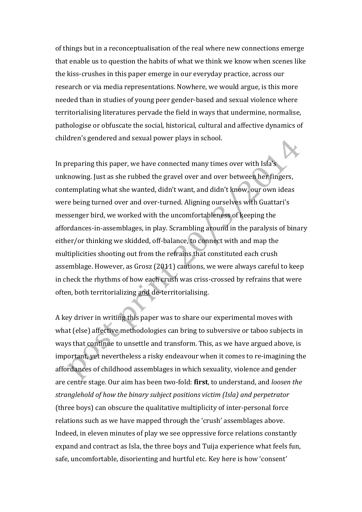of things but in a reconceptualisation of the real where new connections emerge that enable us to question the habits of what we think we know when scenes like the kiss‐crushes in this paper emerge in our everyday practice, across our research or via media representations. Nowhere, we would argue, is this more needed than in studies of young peer gender‐based and sexual violence where territorialising literatures pervade the field in ways that undermine, normalise, pathologise or obfuscate the social, historical, cultural and affective dynamics of children's gendered and sexual power plays in school.

In preparing this paper, we have connected many times over with Isla's unknowing. Just as she rubbed the gravel over and over between her fingers, contemplating what she wanted, didn't want, and didn't know, our own ideas were being turned over and over-turned. Aligning ourselves with Guattari's messenger bird, we worked with the uncomfortableness of keeping the affordances‐in‐assemblages, in play. Scrambling around in the paralysis of binary either/or thinking we skidded, off‐balance, to connect with and map the multiplicities shooting out from the refrains that constituted each crush assemblage. However, as Grosz (2011) cautions, we were always careful to keep in check the rhythms of how each crush was criss-crossed by refrains that were often, both territorializing and de‐territorialising.

A key driver in writing this paper was to share our experimental moves with what (else) affective methodologies can bring to subversive or taboo subjects in ways that continue to unsettle and transform. This, as we have argued above, is important, yet nevertheless a risky endeavour when it comes to re-imagining the affordances of childhood assemblages in which sexuality, violence and gender are centre stage. Our aim has been two‐fold: **first**, to understand, and *loosen the stranglehold of how the binary subject positions victim (Isla) and perpetrator* (three boys) can obscure the qualitative multiplicity of inter‐personal force relations such as we have mapped through the 'crush' assemblages above. Indeed, in eleven minutes of play we see oppressive force relations constantly expand and contract as Isla, the three boys and Tuija experience what feels fun, safe, uncomfortable, disorienting and hurtful etc. Key here is how 'consent'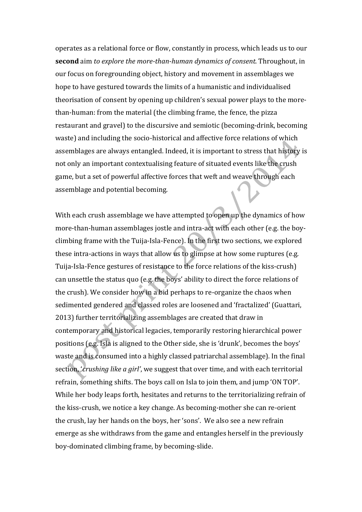operates as a relational force or flow, constantly in process, which leads us to our **second** aim *to explore the more‐than‐human dynamics of consent*. Throughout, in our focus on foregrounding object, history and movement in assemblages we hope to have gestured towards the limits of a humanistic and individualised theorisation of consent by opening up children's sexual power plays to the more‐ than‐human: from the material (the climbing frame, the fence, the pizza restaurant and gravel) to the discursive and semiotic (becoming‐drink, becoming waste) and including the socio-historical and affective force relations of which assemblages are always entangled. Indeed, it is important to stress that history is not only an important contextualising feature of situated events like the crush game, but a set of powerful affective forces that weft and weave through each assemblage and potential becoming.

With each crush assemblage we have attempted to open up the dynamics of how more-than-human assemblages jostle and intra-act with each other (e.g. the boyclimbing frame with the Tuija‐Isla‐Fence). In the first two sections, we explored these intra‐actions in ways that allow us to glimpse at how some ruptures (e.g. Tuija‐Isla‐Fence gestures of resistance to the force relations of the kiss‐crush) can unsettle the status quo (e.g. the boys' ability to direct the force relations of the crush). We consider how in a bid perhaps to re‐organize the chaos when sedimented gendered and classed roles are loosened and 'fractalized' (Guattari, 2013) further territorializing assemblages are created that draw in contemporary and historical legacies, temporarily restoring hierarchical power positions (e.g. Isla is aligned to the Other side, she is 'drunk', becomes the boys' waste and is consumed into a highly classed patriarchal assemblage). In the final section, '*crushing like a girl'*, we suggest that over time, and with each territorial refrain, something shifts. The boys call on Isla to join them, and jump 'ON TOP'. While her body leaps forth, hesitates and returns to the territorializing refrain of the kiss‐crush, we notice a key change. As becoming‐mother she can re‐orient the crush, lay her hands on the boys, her 'sons'. We also see a new refrain emerge as she withdraws from the game and entangles herself in the previously boy‐dominated climbing frame, by becoming‐slide.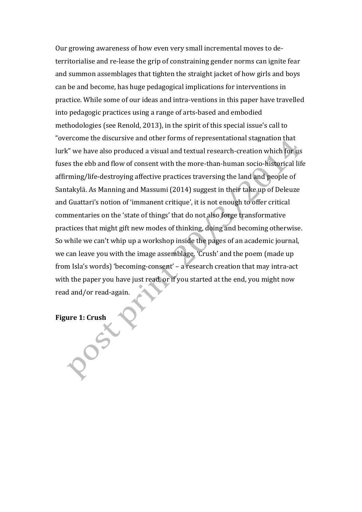Our growing awareness of how even very small incremental moves to de‐ territorialise and re‐lease the grip of constraining gender norms can ignite fear and summon assemblages that tighten the straight jacket of how girls and boys can be and become, has huge pedagogical implications for interventions in practice. While some of our ideas and intra‐ventions in this paper have travelled into pedagogic practices using a range of arts‐based and embodied methodologies (see Renold, 2013), in the spirit of this special issue's call to "overcome the discursive and other forms of representational stagnation that lurk" we have also produced a visual and textual research‐creation which for us fuses the ebb and flow of consent with the more‐than‐human socio‐historical life affirming/life‐destroying affective practices traversing the land and people of Santakylä. As Manning and Massumi (2014) suggest in their take up of Deleuze and Guattari's notion of 'immanent critique', it is not enough to offer critical commentaries on the 'state of things' that do not also forge transformative practices that might gift new modes of thinking, doing and becoming otherwise. So while we can't whip up a workshop inside the pages of an academic journal, we can leave you with the image assemblage, 'Crush' and the poem (made up from Isla's words) 'becoming-consent' – a research creation that may intra-act with the paper you have just read, or if you started at the end, you might now read and/or read‐again.

**Figure 1: Crush**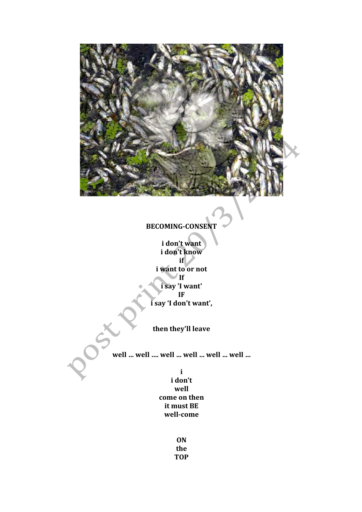

**ON the TOP**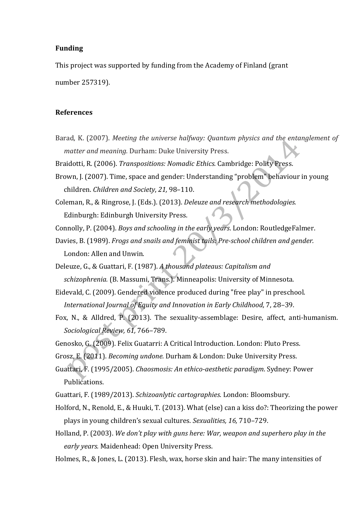#### **Funding**

This project was supported by funding from the Academy of Finland (grant number 257319).

#### **References**

- Barad, K. (2007). *Meeting the universe halfway: Quantum physics and the entanglement of matter and meaning.* Durham: Duke University Press.
- Braidotti, R. (2006). *Transpositions: Nomadic Ethics.* Cambridge: Polity Press.
- Brown, J. (2007). Time, space and gender: Understanding "problem" behaviour in young children. *Children and Society*, *21,* 98–110.
- Coleman, R., & Ringrose, J. (Eds.). (2013). *Deleuze and research methodologies.* Edinburgh: Edinburgh University Press.
- Connolly, P. (2004). *Boys and schooling in the early years*. London: RoutledgeFalmer.
- Davies, B. (1989). *Frogs and snails and feminist tails: Pre‐school children and gender.* London: Allen and Unwin.
- Deleuze, G., & Guattari, F. (1987). *A thousand plateaus: Capitalism and schizophrenia.* (B. Massumi, Trans.). Minneapolis: University of Minnesota.
- Eidevald, C. (2009). Gendered violence produced during "free play" in preschool. *International Journal of Equity and Innovation in Early Childhood*, 7, 28–39.
- Fox, N., & Alldred, P. (2013). The sexuality‐assemblage: Desire, affect, anti‐humanism. *Sociological Review, 61,* 766–789.
- Genosko, G. (2009). Felix Guatarri: A Critical Introduction. London: Pluto Press.
- Grosz, E. (2011). *Becoming undone.* Durham & London: Duke University Press.
- Guattari, F. (1995/2005). *Chaosmosis: An ethico‐aesthetic paradigm*. Sydney: Power Publications.
- Guattari, F. (1989/2013). *Schizoanlytic cartographies*. London: Bloomsbury.
- Holford, N., Renold, E., & Huuki, T. (2013). What (else) can a kiss do?: Theorizing the power plays in young children's sexual cultures. *Sexualities, 16,* 710–729.
- Holland, P. (2003). *We don't play with guns here: War, weapon and superhero play in the early years.* Maidenhead: Open University Press.
- Holmes, R., & Jones, L. (2013). Flesh, wax, horse skin and hair: The many intensities of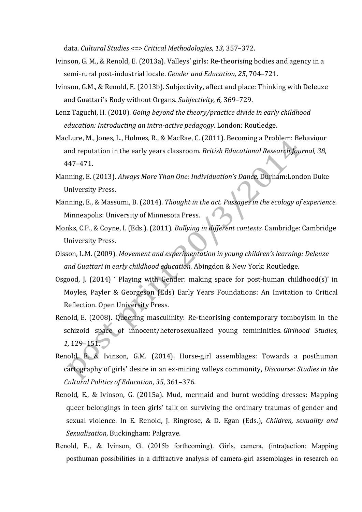data. *Cultural Studies <=> Critical Methodologies*, *13,* 357–372.

- Ivinson, G. M., & Renold, E. (2013a). Valleys' girls: Re‐theorising bodies and agency in a semi‐rural post‐industrial locale. *Gender and Education, 25*, 704–721.
- Ivinson, G.M., & Renold, E. (2013b). Subjectivity, affect and place: Thinking with Deleuze and Guattari's Body without Organs. *Subjectivity, 6,* 369–729.
- Lenz Taguchi, H. (2010). *Going beyond the theory/practice divide in early childhood education: Introducting an intra‐active pedagogy.* London: Routledge.
- MacLure, M., Jones, L., Holmes, R., & MacRae, C. (2011). Becoming a Problem: Behaviour and reputation in the early years classroom. *British Educational Research Journal, 38,* 447–471.
- Manning, E. (2013). *Always More Than One: Individuation's Dance*. Durham:London Duke University Press.
- Manning, E., & Massumi, B. (2014). *Thought in the act. Passages in the ecology of experience.*  Minneapolis: University of Minnesota Press.
- Monks, C.P., & Coyne, I. (Eds.). (2011)*. Bullying in different contexts.* Cambridge: Cambridge University Press.
- Olsson, L.M. (2009). *Movement and experimentation in young children's learning: Deleuze and Guattari in early childhood education.* Abingdon & New York: Routledge.
- Osgood, J.  $(2014)$  ' Playing with Gender: making space for post-human childhood $(s)$ ' in Moyles, Payler & Georgeson (Eds) Early Years Foundations: An Invitation to Critical Reflection. Open University Press.
- Renold, E. (2008). Queering masculinity: Re-theorising contemporary tomboyism in the schizoid space of innocent/heterosexualized young femininities. *Girlhood Studies, 1,* 129–151.
- Renold, E. & Ivinson, G.M. (2014). Horse‐girl assemblages: Towards a posthuman cartography of girls' desire in an ex‐mining valleys community, *Discourse: Studies in the Cultural Politics of Education*, *35*, 361–376.
- Renold, E., & Ivinson, G. (2015a). Mud, mermaid and burnt wedding dresses: Mapping queer belongings in teen girls' talk on surviving the ordinary traumas of gender and sexual violence. In E. Renold, J. Ringrose, & D. Egan (Eds.), *Children, sexuality and Sexualisation*, Buckingham: Palgrave.
- Renold, E., & Ivinson, G. (2015b forthcoming). Girls, camera, (intra)action: Mapping posthuman possibilities in a diffractive analysis of camera-girl assemblages in research on